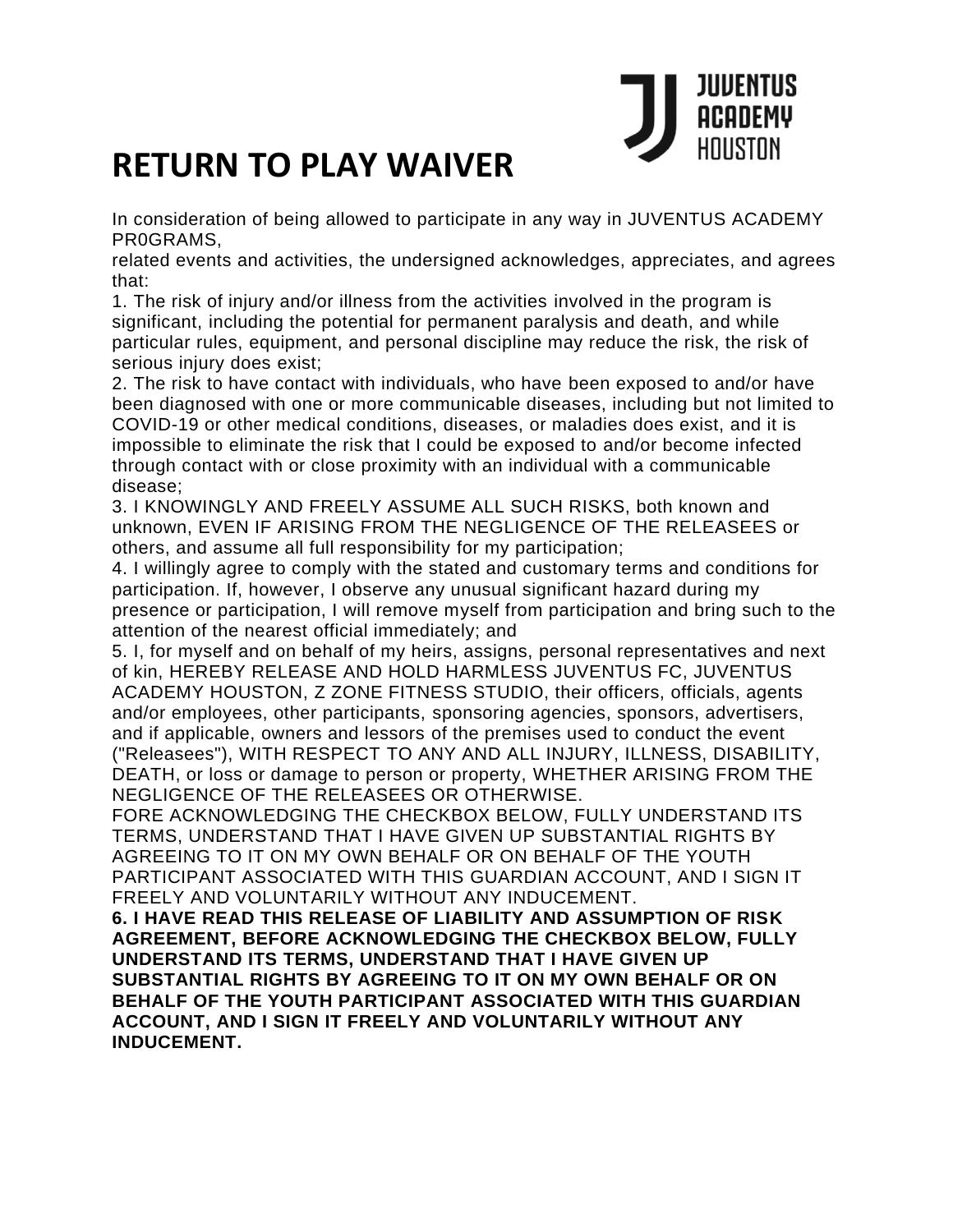

## **RETURN TO PLAY WAIVER**

In consideration of being allowed to participate in any way in JUVENTUS ACADEMY PR0GRAMS,

related events and activities, the undersigned acknowledges, appreciates, and agrees that:

1. The risk of injury and/or illness from the activities involved in the program is significant, including the potential for permanent paralysis and death, and while particular rules, equipment, and personal discipline may reduce the risk, the risk of serious injury does exist;

2. The risk to have contact with individuals, who have been exposed to and/or have been diagnosed with one or more communicable diseases, including but not limited to COVID-19 or other medical conditions, diseases, or maladies does exist, and it is impossible to eliminate the risk that I could be exposed to and/or become infected through contact with or close proximity with an individual with a communicable disease;

3. I KNOWINGLY AND FREELY ASSUME ALL SUCH RISKS, both known and unknown, EVEN IF ARISING FROM THE NEGLIGENCE OF THE RELEASEES or others, and assume all full responsibility for my participation;

4. I willingly agree to comply with the stated and customary terms and conditions for participation. If, however, I observe any unusual significant hazard during my presence or participation, I will remove myself from participation and bring such to the attention of the nearest official immediately; and

5. I, for myself and on behalf of my heirs, assigns, personal representatives and next of kin, HEREBY RELEASE AND HOLD HARMLESS JUVENTUS FC, JUVENTUS ACADEMY HOUSTON, Z ZONE FITNESS STUDIO, their officers, officials, agents and/or employees, other participants, sponsoring agencies, sponsors, advertisers, and if applicable, owners and lessors of the premises used to conduct the event ("Releasees"), WITH RESPECT TO ANY AND ALL INJURY, ILLNESS, DISABILITY, DEATH, or loss or damage to person or property, WHETHER ARISING FROM THE NEGLIGENCE OF THE RELEASEES OR OTHERWISE.

FORE ACKNOWLEDGING THE CHECKBOX BELOW, FULLY UNDERSTAND ITS TERMS, UNDERSTAND THAT I HAVE GIVEN UP SUBSTANTIAL RIGHTS BY AGREEING TO IT ON MY OWN BEHALF OR ON BEHALF OF THE YOUTH PARTICIPANT ASSOCIATED WITH THIS GUARDIAN ACCOUNT, AND I SIGN IT FREELY AND VOLUNTARILY WITHOUT ANY INDUCEMENT.

**6. I HAVE READ THIS RELEASE OF LIABILITY AND ASSUMPTION OF RISK AGREEMENT, BEFORE ACKNOWLEDGING THE CHECKBOX BELOW, FULLY UNDERSTAND ITS TERMS, UNDERSTAND THAT I HAVE GIVEN UP SUBSTANTIAL RIGHTS BY AGREEING TO IT ON MY OWN BEHALF OR ON BEHALF OF THE YOUTH PARTICIPANT ASSOCIATED WITH THIS GUARDIAN ACCOUNT, AND I SIGN IT FREELY AND VOLUNTARILY WITHOUT ANY INDUCEMENT.**